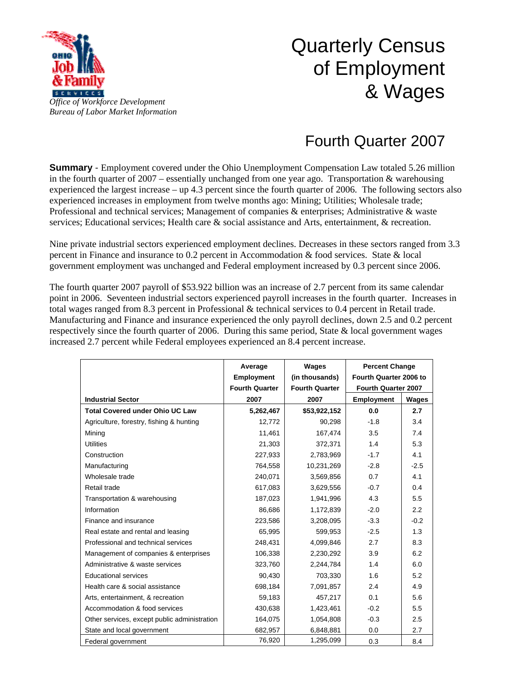

## Quarterly Census of Employment & Wages

## Fourth Quarter 2007

**Summary** - Employment covered under the Ohio Unemployment Compensation Law totaled 5.26 million in the fourth quarter of  $2007$  – essentially unchanged from one year ago. Transportation & warehousing experienced the largest increase – up 4.3 percent since the fourth quarter of 2006. The following sectors also experienced increases in employment from twelve months ago: Mining; Utilities; Wholesale trade; Professional and technical services; Management of companies & enterprises; Administrative & waste services; Educational services; Health care & social assistance and Arts, entertainment, & recreation.

Nine private industrial sectors experienced employment declines. Decreases in these sectors ranged from 3.3 percent in Finance and insurance to 0.2 percent in Accommodation & food services. State & local government employment was unchanged and Federal employment increased by 0.3 percent since 2006.

The fourth quarter 2007 payroll of \$53.922 billion was an increase of 2.7 percent from its same calendar point in 2006. Seventeen industrial sectors experienced payroll increases in the fourth quarter. Increases in total wages ranged from 8.3 percent in Professional & technical services to 0.4 percent in Retail trade. Manufacturing and Finance and insurance experienced the only payroll declines, down 2.5 and 0.2 percent respectively since the fourth quarter of 2006. During this same period, State & local government wages increased 2.7 percent while Federal employees experienced an 8.4 percent increase.

|                                              | Average               | Wages                 | <b>Percent Change</b><br>Fourth Quarter 2006 to |        |
|----------------------------------------------|-----------------------|-----------------------|-------------------------------------------------|--------|
|                                              | <b>Employment</b>     | (in thousands)        |                                                 |        |
|                                              | <b>Fourth Quarter</b> | <b>Fourth Quarter</b> | Fourth Quarter 2007                             |        |
| <b>Industrial Sector</b>                     | 2007                  | 2007                  | <b>Employment</b>                               | Wages  |
| <b>Total Covered under Ohio UC Law</b>       | 5,262,467             | \$53,922,152          | 0.0                                             | 2.7    |
| Agriculture, forestry, fishing & hunting     | 12,772                | 90,298                | $-1.8$                                          | 3.4    |
| Mining                                       | 11,461                | 167,474               | 3.5                                             | 7.4    |
| <b>Utilities</b>                             | 21,303                | 372,371               | 1.4                                             | 5.3    |
| Construction                                 | 227.933               | 2,783,969             | $-1.7$                                          | 4.1    |
| Manufacturing                                | 764,558               | 10,231,269            | $-2.8$                                          | $-2.5$ |
| Wholesale trade                              | 240,071               | 3,569,856             | 0.7                                             | 4.1    |
| Retail trade                                 | 617,083               | 3,629,556             | $-0.7$                                          | 0.4    |
| Transportation & warehousing                 | 187,023               | 1,941,996             | 4.3                                             | 5.5    |
| Information                                  | 86.686                | 1,172,839             | $-2.0$                                          | 2.2    |
| Finance and insurance                        | 223,586               | 3,208,095             | $-3.3$                                          | $-0.2$ |
| Real estate and rental and leasing           | 65,995                | 599,953               | $-2.5$                                          | 1.3    |
| Professional and technical services          | 248,431               | 4,099,846             | 2.7                                             | 8.3    |
| Management of companies & enterprises        | 106,338               | 2,230,292             | 3.9                                             | 6.2    |
| Administrative & waste services              | 323,760               | 2,244,784             | 1.4                                             | 6.0    |
| <b>Educational services</b>                  | 90,430                | 703,330               | 1.6                                             | 5.2    |
| Health care & social assistance              | 698,184               | 7,091,857             | 2.4                                             | 4.9    |
| Arts, entertainment, & recreation            | 59,183                | 457,217               | 0.1                                             | 5.6    |
| Accommodation & food services                | 430,638               | 1,423,461             | $-0.2$                                          | 5.5    |
| Other services, except public administration | 164,075               | 1,054,808             | $-0.3$                                          | 2.5    |
| State and local government                   | 682,957               | 6,848,881             | 0.0                                             | 2.7    |
| Federal government                           | 76,920                | 1,295,099             | 0.3                                             | 8.4    |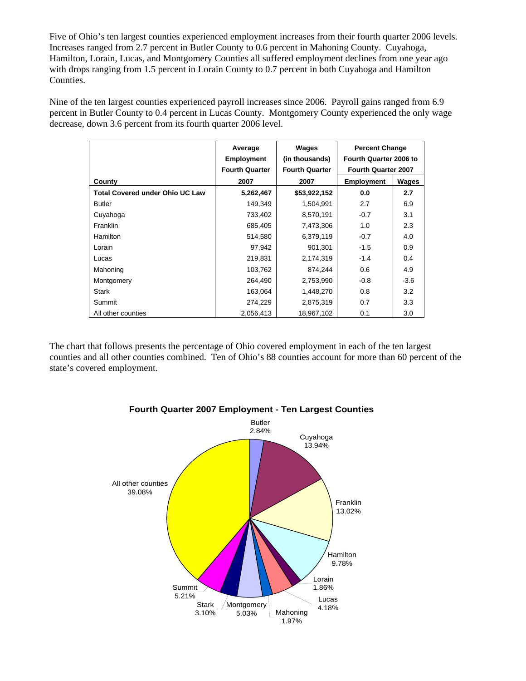Five of Ohio's ten largest counties experienced employment increases from their fourth quarter 2006 levels. Increases ranged from 2.7 percent in Butler County to 0.6 percent in Mahoning County. Cuyahoga, Hamilton, Lorain, Lucas, and Montgomery Counties all suffered employment declines from one year ago with drops ranging from 1.5 percent in Lorain County to 0.7 percent in both Cuyahoga and Hamilton Counties.

Nine of the ten largest counties experienced payroll increases since 2006. Payroll gains ranged from 6.9 percent in Butler County to 0.4 percent in Lucas County. Montgomery County experienced the only wage decrease, down 3.6 percent from its fourth quarter 2006 level.

|                                        | Average               | Wages                 | <b>Percent Change</b>  |        |
|----------------------------------------|-----------------------|-----------------------|------------------------|--------|
|                                        | <b>Employment</b>     | (in thousands)        | Fourth Quarter 2006 to |        |
|                                        | <b>Fourth Quarter</b> | <b>Fourth Quarter</b> | Fourth Quarter 2007    |        |
| County                                 | 2007                  | 2007                  | <b>Employment</b>      | Wages  |
| <b>Total Covered under Ohio UC Law</b> | 5,262,467             | \$53,922,152          | 0.0                    | 2.7    |
| <b>Butler</b>                          | 149,349               | 1,504,991             | 2.7                    | 6.9    |
| Cuyahoga                               | 733,402               | 8,570,191             | $-0.7$                 | 3.1    |
| Franklin                               | 685,405               | 7,473,306             | 1.0                    | 2.3    |
| <b>Hamilton</b>                        | 514,580               | 6,379,119             | $-0.7$                 | 4.0    |
| Lorain                                 | 97,942                | 901,301               | $-1.5$                 | 0.9    |
| Lucas                                  | 219,831               | 2,174,319             | $-1.4$                 | 0.4    |
| Mahoning                               | 103,762               | 874,244               | 0.6                    | 4.9    |
| Montgomery                             | 264,490               | 2,753,990             | $-0.8$                 | $-3.6$ |
| <b>Stark</b>                           | 163,064               | 1,448,270             | 0.8                    | 3.2    |
| Summit                                 | 274,229               | 2,875,319             | 0.7                    | 3.3    |
| All other counties                     | 2,056,413             | 18,967,102            | 0.1                    | 3.0    |

The chart that follows presents the percentage of Ohio covered employment in each of the ten largest counties and all other counties combined. Ten of Ohio's 88 counties account for more than 60 percent of the state's covered employment.